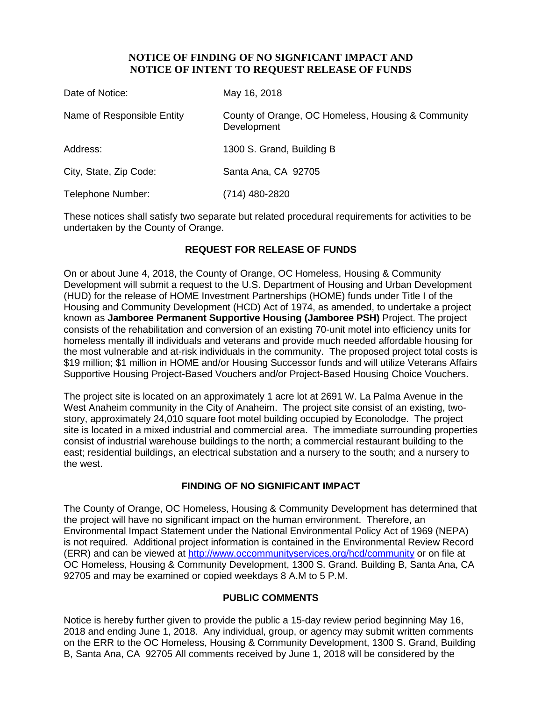### **NOTICE OF FINDING OF NO SIGNFICANT IMPACT AND NOTICE OF INTENT TO REQUEST RELEASE OF FUNDS**

| Date of Notice:            | May 16, 2018                                                      |
|----------------------------|-------------------------------------------------------------------|
| Name of Responsible Entity | County of Orange, OC Homeless, Housing & Community<br>Development |
| Address:                   | 1300 S. Grand, Building B                                         |
| City, State, Zip Code:     | Santa Ana, CA 92705                                               |
| Telephone Number:          | (714) 480-2820                                                    |

These notices shall satisfy two separate but related procedural requirements for activities to be undertaken by the County of Orange.

# **REQUEST FOR RELEASE OF FUNDS**

On or about June 4, 2018, the County of Orange, OC Homeless, Housing & Community Development will submit a request to the U.S. Department of Housing and Urban Development (HUD) for the release of HOME Investment Partnerships (HOME) funds under Title I of the Housing and Community Development (HCD) Act of 1974, as amended, to undertake a project known as **Jamboree Permanent Supportive Housing (Jamboree PSH)** Project. The project consists of the rehabilitation and conversion of an existing 70-unit motel into efficiency units for homeless mentally ill individuals and veterans and provide much needed affordable housing for the most vulnerable and at-risk individuals in the community. The proposed project total costs is \$19 million; \$1 million in HOME and/or Housing Successor funds and will utilize Veterans Affairs Supportive Housing Project-Based Vouchers and/or Project-Based Housing Choice Vouchers.

The project site is located on an approximately 1 acre lot at 2691 W. La Palma Avenue in the West Anaheim community in the City of Anaheim. The project site consist of an existing, twostory, approximately 24,010 square foot motel building occupied by Econolodge. The project site is located in a mixed industrial and commercial area. The immediate surrounding properties consist of industrial warehouse buildings to the north; a commercial restaurant building to the east; residential buildings, an electrical substation and a nursery to the south; and a nursery to the west.

# **FINDING OF NO SIGNIFICANT IMPACT**

The County of Orange, OC Homeless, Housing & Community Development has determined that the project will have no significant impact on the human environment. Therefore, an Environmental Impact Statement under the National Environmental Policy Act of 1969 (NEPA) is not required. Additional project information is contained in the Environmental Review Record (ERR) and can be viewed at<http://www.occommunityservices.org/hcd/community> or on file at OC Homeless, Housing & Community Development, 1300 S. Grand. Building B, Santa Ana, CA 92705 and may be examined or copied weekdays 8 A.M to 5 P.M.

# **PUBLIC COMMENTS**

Notice is hereby further given to provide the public a 15-day review period beginning May 16, 2018 and ending June 1, 2018. Any individual, group, or agency may submit written comments on the ERR to the OC Homeless, Housing & Community Development, 1300 S. Grand, Building B, Santa Ana, CA 92705 All comments received by June 1, 2018 will be considered by the